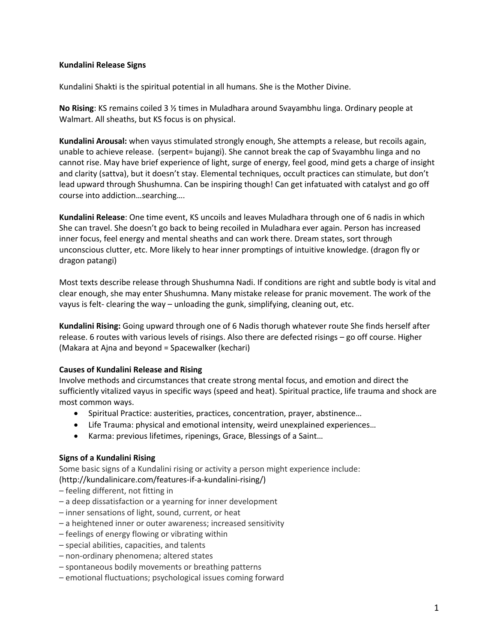## **Kundalini Release Signs**

Kundalini Shakti is the spiritual potential in all humans. She is the Mother Divine.

**No Rising**: KS remains coiled 3 ½ times in Muladhara around Svayambhu linga. Ordinary people at Walmart. All sheaths, but KS focus is on physical.

**Kundalini Arousal:** when vayus stimulated strongly enough, She attempts a release, but recoils again, unable to achieve release. (serpent= bujangi). She cannot break the cap of Svayambhu linga and no cannot rise. May have brief experience of light, surge of energy, feel good, mind gets a charge of insight and clarity (sattva), but it doesn't stay. Elemental techniques, occult practices can stimulate, but don't lead upward through Shushumna. Can be inspiring though! Can get infatuated with catalyst and go off course into addiction…searching….

**Kundalini Release**: One time event, KS uncoils and leaves Muladhara through one of 6 nadis in which She can travel. She doesn't go back to being recoiled in Muladhara ever again. Person has increased inner focus, feel energy and mental sheaths and can work there. Dream states, sort through unconscious clutter, etc. More likely to hear inner promptings of intuitive knowledge. (dragon fly or dragon patangi)

Most texts describe release through Shushumna Nadi. If conditions are right and subtle body is vital and clear enough, she may enter Shushumna. Many mistake release for pranic movement. The work of the vayus is felt- clearing the way – unloading the gunk, simplifying, cleaning out, etc.

**Kundalini Rising:** Going upward through one of 6 Nadis thorugh whatever route She finds herself after release. 6 routes with various levels of risings. Also there are defected risings – go off course. Higher (Makara at Ajna and beyond = Spacewalker (kechari)

## **Causes of Kundalini Release and Rising**

Involve methods and circumstances that create strong mental focus, and emotion and direct the sufficiently vitalized vayus in specific ways (speed and heat). Spiritual practice, life trauma and shock are most common ways.

- Spiritual Practice: austerities, practices, concentration, prayer, abstinence…
- Life Trauma: physical and emotional intensity, weird unexplained experiences…
- Karma: previous lifetimes, ripenings, Grace, Blessings of a Saint…

## **Signs of a Kundalini Rising**

Some basic signs of a Kundalini rising or activity a person might experience include:

(http://kundalinicare.com/features-if-a-kundalini-rising/)

- feeling different, not fitting in
- a deep dissatisfaction or a yearning for inner development
- inner sensations of light, sound, current, or heat
- a heightened inner or outer awareness; increased sensitivity
- feelings of energy flowing or vibrating within
- special abilities, capacities, and talents
- non-ordinary phenomena; altered states
- spontaneous bodily movements or breathing patterns
- emotional fluctuations; psychological issues coming forward